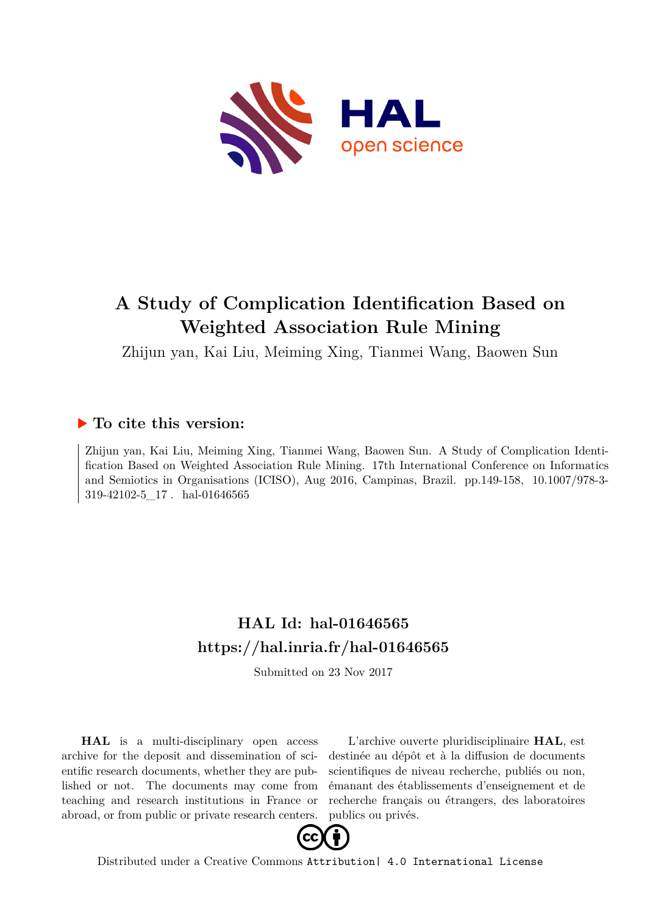

# **A Study of Complication Identification Based on Weighted Association Rule Mining**

Zhijun yan, Kai Liu, Meiming Xing, Tianmei Wang, Baowen Sun

# **To cite this version:**

Zhijun yan, Kai Liu, Meiming Xing, Tianmei Wang, Baowen Sun. A Study of Complication Identification Based on Weighted Association Rule Mining. 17th International Conference on Informatics and Semiotics in Organisations (ICISO), Aug 2016, Campinas, Brazil. pp.149-158, 10.1007/978-3-319-42102-5 17. hal-01646565

# **HAL Id: hal-01646565 <https://hal.inria.fr/hal-01646565>**

Submitted on 23 Nov 2017

**HAL** is a multi-disciplinary open access archive for the deposit and dissemination of scientific research documents, whether they are published or not. The documents may come from teaching and research institutions in France or abroad, or from public or private research centers.

L'archive ouverte pluridisciplinaire **HAL**, est destinée au dépôt et à la diffusion de documents scientifiques de niveau recherche, publiés ou non, émanant des établissements d'enseignement et de recherche français ou étrangers, des laboratoires publics ou privés.



Distributed under a Creative Commons [Attribution| 4.0 International License](http://creativecommons.org/licenses/by/4.0/)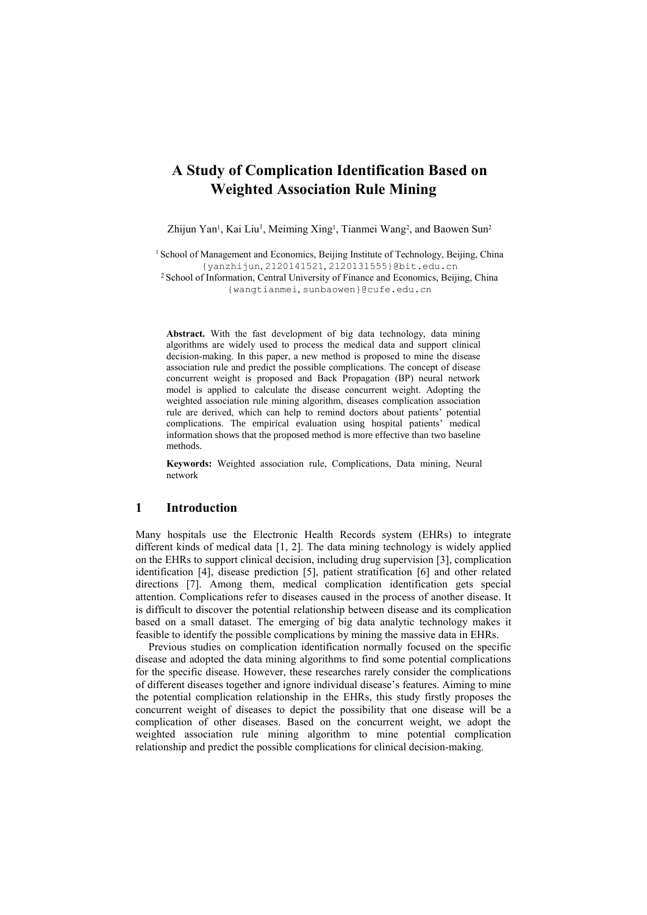# **A Study of Complication Identification Based on Weighted Association Rule Mining**

Zhijun Yan<sup>1</sup>, Kai Liu<sup>1</sup>, Meiming Xing<sup>1</sup>, Tianmei Wang<sup>2</sup>, and Baowen Sun<sup>2</sup>

<sup>1</sup> School of Management and Economics, Beijing Institute of Technology, Beijing, China {yanzhijun, 2120141521, 2120131555}@bit.edu.cn

<sup>2</sup> School of Information, Central University of Finance and Economics, Beijing, China {wangtianmei, sunbaowen}@cufe.edu.cn

**Abstract.** With the fast development of big data technology, data mining algorithms are widely used to process the medical data and support clinical decision-making. In this paper, a new method is proposed to mine the disease association rule and predict the possible complications. The concept of disease concurrent weight is proposed and Back Propagation (BP) neural network model is applied to calculate the disease concurrent weight. Adopting the weighted association rule mining algorithm, diseases complication association rule are derived, which can help to remind doctors about patients' potential complications. The empirical evaluation using hospital patients' medical information shows that the proposed method is more effective than two baseline methods.

**Keywords:** Weighted association rule, Complications, Data mining, Neural network

# **1 Introduction**

Many hospitals use the Electronic Health Records system (EHRs) to integrate different kinds of medical data [\[1,](#page-9-0) [2\]](#page-9-1). The data mining technology is widely applied on the EHRs to support clinical decision, including drug supervision [\[3\]](#page-9-2), complication identification [\[4\]](#page-9-3), disease prediction [\[5\]](#page-9-4), patient stratification [\[6\]](#page-9-5) and other related directions [\[7\]](#page-9-6). Among them, medical complication identification gets special attention. Complications refer to diseases caused in the process of another disease. It is difficult to discover the potential relationship between disease and its complication based on a small dataset. The emerging of big data analytic technology makes it feasible to identify the possible complications by mining the massive data in EHRs.

Previous studies on complication identification normally focused on the specific disease and adopted the data mining algorithms to find some potential complications for the specific disease. However, these researches rarely consider the complications of different diseases together and ignore individual disease's features. Aiming to mine the potential complication relationship in the EHRs, this study firstly proposes the concurrent weight of diseases to depict the possibility that one disease will be a complication of other diseases. Based on the concurrent weight, we adopt the weighted association rule mining algorithm to mine potential complication relationship and predict the possible complications for clinical decision-making.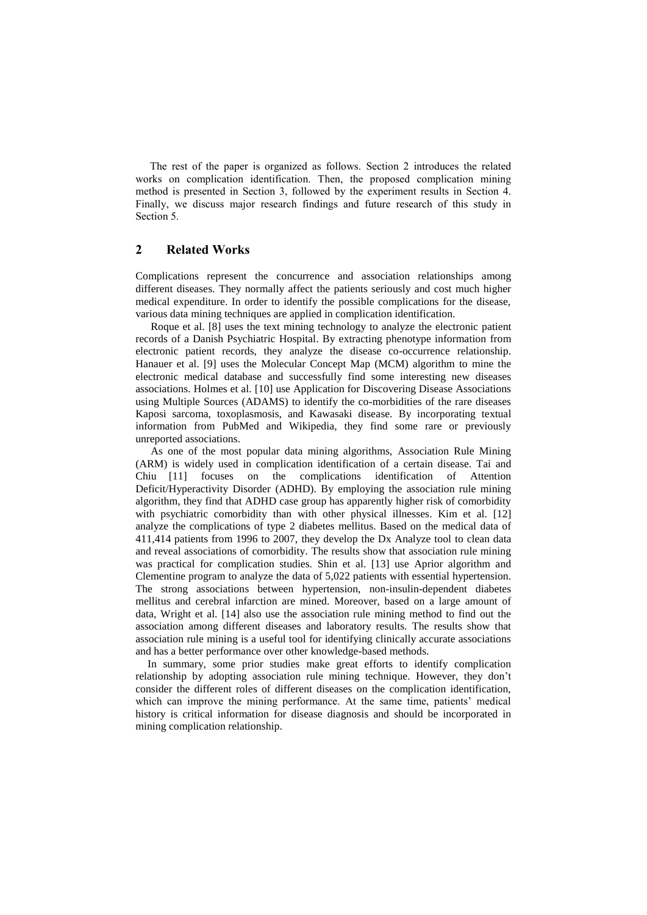The rest of the paper is organized as follows. Section 2 introduces the related works on complication identification. Then, the proposed complication mining method is presented in Section 3, followed by the experiment results in Section 4. Finally, we discuss major research findings and future research of this study in Section 5.

# **2 Related Works**

Complications represent the concurrence and association relationships among different diseases. They normally affect the patients seriously and cost much higher medical expenditure. In order to identify the possible complications for the disease, various data mining techniques are applied in complication identification.

Roque et al. [\[8\]](#page-9-7) uses the text mining technology to analyze the electronic patient records of a Danish Psychiatric Hospital. By extracting phenotype information from electronic patient records, they analyze the disease co-occurrence relationship. Hanauer et al. [\[9\]](#page-9-8) uses the Molecular Concept Map (MCM) algorithm to mine the electronic medical database and successfully find some interesting new diseases associations. Holmes et al. [\[10\]](#page-9-9) use Application for Discovering Disease Associations using Multiple Sources (ADAMS) to identify the co-morbidities of the rare diseases Kaposi sarcoma, toxoplasmosis, and Kawasaki disease. By incorporating textual information from PubMed and Wikipedia, they find some rare or previously unreported associations.

As one of the most popular data mining algorithms, Association Rule Mining (ARM) is widely used in complication identification of a certain disease. Tai and Chiu [\[11\]](#page-10-0) focuses on the complications identification of Attention Deficit/Hyperactivity Disorder (ADHD). By employing the association rule mining algorithm, they find that ADHD case group has apparently higher risk of comorbidity with psychiatric comorbidity than with other physical illnesses. Kim et al. [\[12\]](#page-10-1) analyze the complications of type 2 diabetes mellitus. Based on the medical data of 411,414 patients from 1996 to 2007, they develop the Dx Analyze tool to clean data and reveal associations of comorbidity. The results show that association rule mining was practical for complication studies. Shin et al. [\[13\]](#page-10-2) use Aprior algorithm and Clementine program to analyze the data of 5,022 patients with essential hypertension. The strong associations between hypertension, non-insulin-dependent diabetes mellitus and cerebral infarction are mined. Moreover, based on a large amount of data, Wright et al. [\[14\]](#page-10-3) also use the association rule mining method to find out the association among different diseases and laboratory results. The results show that association rule mining is a useful tool for identifying clinically accurate associations and has a better performance over other knowledge-based methods.

In summary, some prior studies make great efforts to identify complication relationship by adopting association rule mining technique. However, they don't consider the different roles of different diseases on the complication identification, which can improve the mining performance. At the same time, patients' medical history is critical information for disease diagnosis and should be incorporated in mining complication relationship.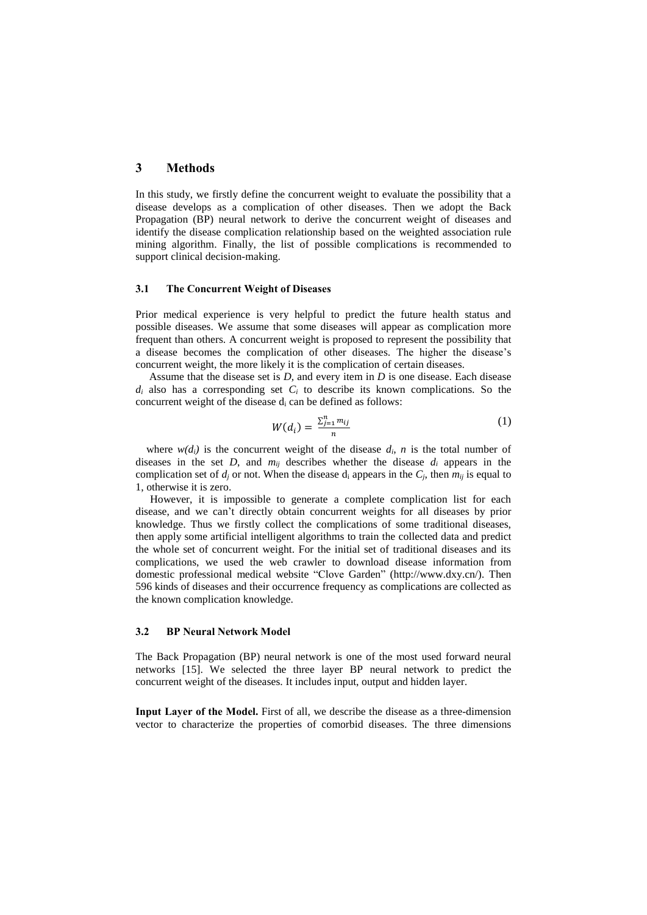# **3 Methods**

In this study, we firstly define the concurrent weight to evaluate the possibility that a disease develops as a complication of other diseases. Then we adopt the Back Propagation (BP) neural network to derive the concurrent weight of diseases and identify the disease complication relationship based on the weighted association rule mining algorithm. Finally, the list of possible complications is recommended to support clinical decision-making.

#### **3.1 The Concurrent Weight of Diseases**

Prior medical experience is very helpful to predict the future health status and possible diseases. We assume that some diseases will appear as complication more frequent than others. A concurrent weight is proposed to represent the possibility that a disease becomes the complication of other diseases. The higher the disease's concurrent weight, the more likely it is the complication of certain diseases.

Assume that the disease set is *D,* and every item in *D* is one disease. Each disease  $d_i$  also has a corresponding set  $C_i$  to describe its known complications. So the concurrent weight of the disease  $d_i$  can be defined as follows:

$$
W(d_i) = \frac{\sum_{j=1}^{n} m_{ij}}{n} \tag{1}
$$

where  $w(d_i)$  is the concurrent weight of the disease  $d_i$ , *n* is the total number of diseases in the set *D*, and  $m_{ij}$  describes whether the disease  $d_i$  appears in the complication set of  $d_j$  or not. When the disease  $d_i$  appears in the  $C_j$ , then  $m_{ij}$  is equal to 1, otherwise it is zero.

However, it is impossible to generate a complete complication list for each disease, and we can't directly obtain concurrent weights for all diseases by prior knowledge. Thus we firstly collect the complications of some traditional diseases, then apply some artificial intelligent algorithms to train the collected data and predict the whole set of concurrent weight. For the initial set of traditional diseases and its complications, we used the web crawler to download disease information from domestic professional medical website "Clove Garden" (http://www.dxy.cn/). Then 596 kinds of diseases and their occurrence frequency as complications are collected as the known complication knowledge.

#### **3.2 BP Neural Network Model**

The Back Propagation (BP) neural network is one of the most used forward neural networks [\[15\]](#page-10-4). We selected the three layer BP neural network to predict the concurrent weight of the diseases. It includes input, output and hidden layer.

**Input Layer of the Model.** First of all, we describe the disease as a three-dimension vector to characterize the properties of comorbid diseases. The three dimensions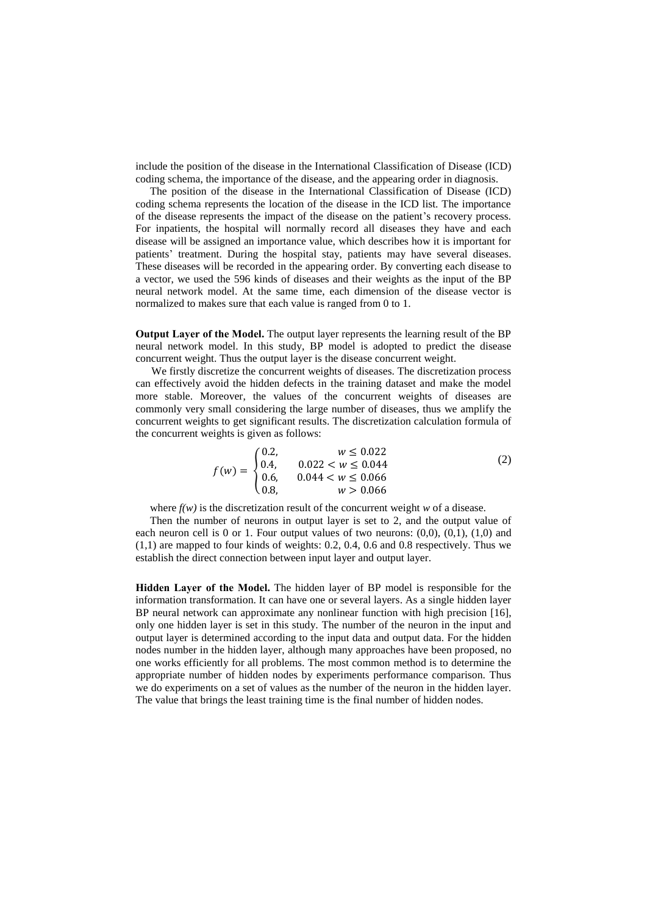include the position of the disease in the International Classification of Disease (ICD) coding schema, the importance of the disease, and the appearing order in diagnosis.

The position of the disease in the International Classification of Disease (ICD) coding schema represents the location of the disease in the ICD list. The importance of the disease represents the impact of the disease on the patient's recovery process. For inpatients, the hospital will normally record all diseases they have and each disease will be assigned an importance value, which describes how it is important for patients' treatment. During the hospital stay, patients may have several diseases. These diseases will be recorded in the appearing order. By converting each disease to a vector, we used the 596 kinds of diseases and their weights as the input of the BP neural network model. At the same time, each dimension of the disease vector is normalized to makes sure that each value is ranged from 0 to 1.

**Output Layer of the Model.** The output layer represents the learning result of the BP neural network model. In this study, BP model is adopted to predict the disease concurrent weight. Thus the output layer is the disease concurrent weight.

We firstly discretize the concurrent weights of diseases. The discretization process can effectively avoid the hidden defects in the training dataset and make the model more stable. Moreover, the values of the concurrent weights of diseases are commonly very small considering the large number of diseases, thus we amplify the concurrent weights to get significant results. The discretization calculation formula of the concurrent weights is given as follows:

$$
f(w) = \begin{cases} 0.2, & w \le 0.022 \\ 0.4, & 0.022 < w \le 0.044 \\ 0.6, & 0.044 < w \le 0.066 \\ 0.8, & w > 0.066 \end{cases}
$$
 (2)

where  $f(w)$  is the discretization result of the concurrent weight *w* of a disease.

Then the number of neurons in output layer is set to 2, and the output value of each neuron cell is 0 or 1. Four output values of two neurons:  $(0,0)$ ,  $(0,1)$ ,  $(1,0)$  and (1,1) are mapped to four kinds of weights: 0.2, 0.4, 0.6 and 0.8 respectively. Thus we establish the direct connection between input layer and output layer.

**Hidden Layer of the Model.** The hidden layer of BP model is responsible for the information transformation. It can have one or several layers. As a single hidden layer BP neural network can approximate any nonlinear function with high precision [\[16\]](#page-10-5), only one hidden layer is set in this study. The number of the neuron in the input and output layer is determined according to the input data and output data. For the hidden nodes number in the hidden layer, although many approaches have been proposed, no one works efficiently for all problems. The most common method is to determine the appropriate number of hidden nodes by experiments performance comparison. Thus we do experiments on a set of values as the number of the neuron in the hidden layer. The value that brings the least training time is the final number of hidden nodes.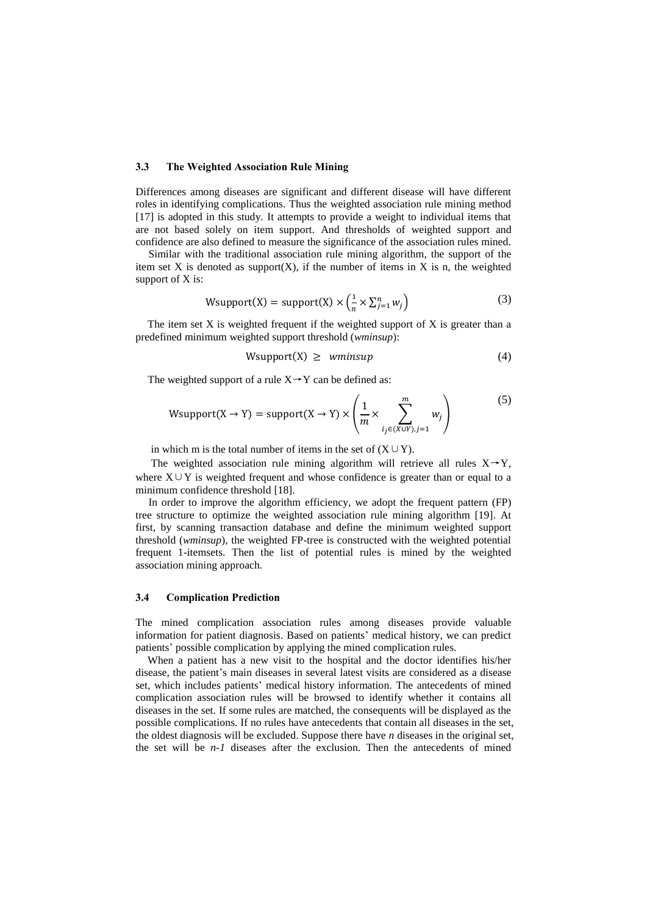#### **3.3 The Weighted Association Rule Mining**

Differences among diseases are significant and different disease will have different roles in identifying complications. Thus the weighted association rule mining method [\[17\]](#page-10-6) is adopted in this study. It attempts to provide a weight to individual items that are not based solely on item support. And thresholds of weighted support and confidence are also defined to measure the significance of the association rules mined.

Similar with the traditional association rule mining algorithm, the support of the item set X is denoted as support $(X)$ , if the number of items in X is n, the weighted support of X is:

$$
W \text{support}(X) = \text{support}(X) \times \left(\frac{1}{n} \times \sum_{j=1}^{n} w_j\right) \tag{3}
$$

The item set  $X$  is weighted frequent if the weighted support of  $X$  is greater than a predefined minimum weighted support threshold (*wminsup*):

$$
W \text{support}(X) \geq \text{wminsup} \tag{4}
$$

The weighted support of a rule  $X \rightarrow Y$  can be defined as:

Wsupport(X 
$$
\rightarrow
$$
 Y) = support(X  $\rightarrow$  Y)  $\times \left(\frac{1}{m} \times \sum_{i_j \in (X \cup Y), j=1}^{m} w_j\right)$  (5)

in which m is the total number of items in the set of  $(X \cup Y)$ .

The weighted association rule mining algorithm will retrieve all rules  $X \rightarrow Y$ , where X∪Y is weighted frequent and whose confidence is greater than or equal to a minimum confidence threshold [\[18\]](#page-10-7).

In order to improve the algorithm efficiency, we adopt the frequent pattern (FP) tree structure to optimize the weighted association rule mining algorithm [\[19\]](#page-10-8). At first, by scanning transaction database and define the minimum weighted support threshold (*wminsup*), the weighted FP-tree is constructed with the weighted potential frequent 1-itemsets. Then the list of potential rules is mined by the weighted association mining approach.

#### **3.4 Complication Prediction**

The mined complication association rules among diseases provide valuable information for patient diagnosis. Based on patients' medical history, we can predict patients' possible complication by applying the mined complication rules.

When a patient has a new visit to the hospital and the doctor identifies his/her disease, the patient's main diseases in several latest visits are considered as a disease set, which includes patients' medical history information. The antecedents of mined complication association rules will be browsed to identify whether it contains all diseases in the set. If some rules are matched, the consequents will be displayed as the possible complications. If no rules have antecedents that contain all diseases in the set, the oldest diagnosis will be excluded. Suppose there have *n* diseases in the original set, the set will be  $n-1$  diseases after the exclusion. Then the antecedents of mined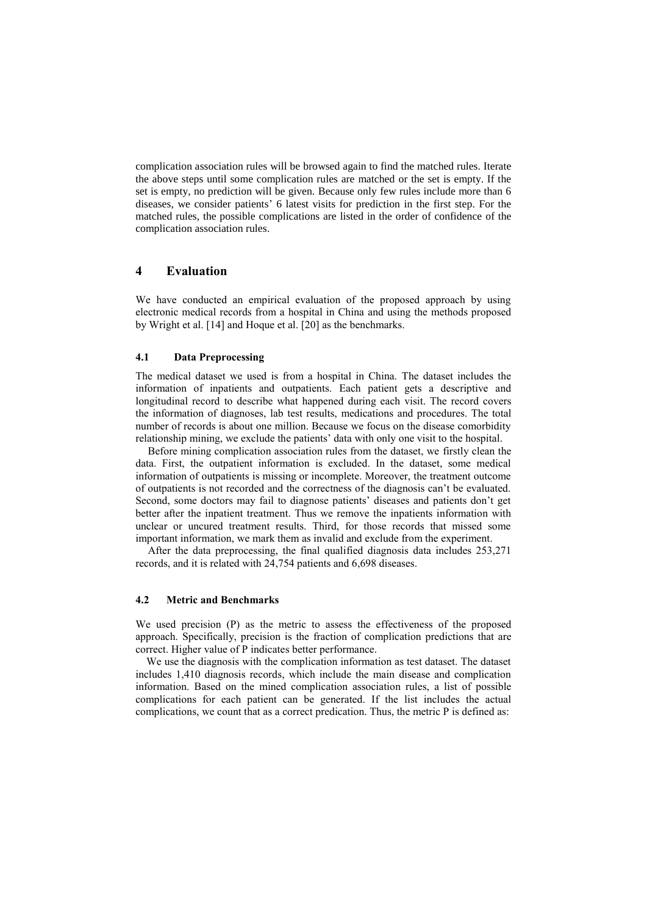complication association rules will be browsed again to find the matched rules. Iterate the above steps until some complication rules are matched or the set is empty. If the set is empty, no prediction will be given. Because only few rules include more than 6 diseases, we consider patients' 6 latest visits for prediction in the first step. For the matched rules, the possible complications are listed in the order of confidence of the complication association rules.

# **4 Evaluation**

We have conducted an empirical evaluation of the proposed approach by using electronic medical records from a hospital in China and using the methods proposed by Wright et al. [\[14\]](#page-10-3) and Hoque et al. [\[20\]](#page-10-9) as the benchmarks.

#### **4.1 Data Preprocessing**

The medical dataset we used is from a hospital in China. The dataset includes the information of inpatients and outpatients. Each patient gets a descriptive and longitudinal record to describe what happened during each visit. The record covers the information of diagnoses, lab test results, medications and procedures. The total number of records is about one million. Because we focus on the disease comorbidity relationship mining, we exclude the patients' data with only one visit to the hospital.

Before mining complication association rules from the dataset, we firstly clean the data. First, the outpatient information is excluded. In the dataset, some medical information of outpatients is missing or incomplete. Moreover, the treatment outcome of outpatients is not recorded and the correctness of the diagnosis can't be evaluated. Second, some doctors may fail to diagnose patients' diseases and patients don't get better after the inpatient treatment. Thus we remove the inpatients information with unclear or uncured treatment results. Third, for those records that missed some important information, we mark them as invalid and exclude from the experiment.

After the data preprocessing, the final qualified diagnosis data includes 253,271 records, and it is related with 24,754 patients and 6,698 diseases.

### **4.2 Metric and Benchmarks**

We used precision (P) as the metric to assess the effectiveness of the proposed approach. Specifically, precision is the fraction of complication predictions that are correct. Higher value of P indicates better performance.

We use the diagnosis with the complication information as test dataset. The dataset includes 1,410 diagnosis records, which include the main disease and complication information. Based on the mined complication association rules, a list of possible complications for each patient can be generated. If the list includes the actual complications, we count that as a correct predication. Thus, the metric P is defined as: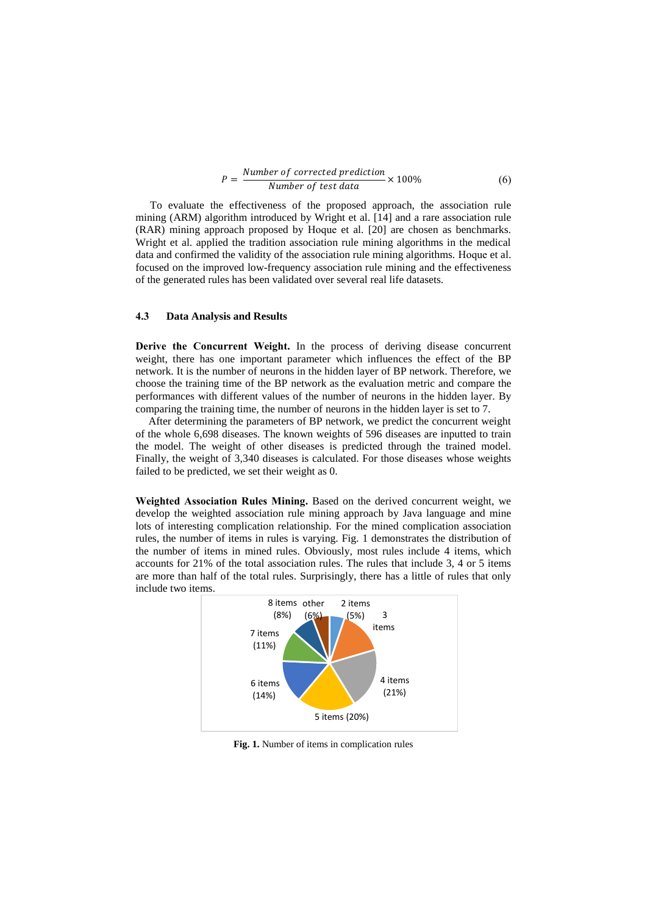$$
P = \frac{Number\ of\ corrected\ prediction}{Number\ of\ test\ data} \times 100\%
$$
 (6)

To evaluate the effectiveness of the proposed approach, the association rule mining (ARM) algorithm introduced by Wright et al. [\[14\]](#page-10-3) and a rare association rule (RAR) mining approach proposed by Hoque et al. [\[20\]](#page-10-9) are chosen as benchmarks. Wright et al. applied the tradition association rule mining algorithms in the medical data and confirmed the validity of the association rule mining algorithms. Hoque et al. focused on the improved low-frequency association rule mining and the effectiveness of the generated rules has been validated over several real life datasets.

#### **4.3 Data Analysis and Results**

**Derive the Concurrent Weight.** In the process of deriving disease concurrent weight, there has one important parameter which influences the effect of the BP network. It is the number of neurons in the hidden layer of BP network. Therefore, we choose the training time of the BP network as the evaluation metric and compare the performances with different values of the number of neurons in the hidden layer. By comparing the training time, the number of neurons in the hidden layer is set to 7.

After determining the parameters of BP network, we predict the concurrent weight of the whole 6,698 diseases. The known weights of 596 diseases are inputted to train the model. The weight of other diseases is predicted through the trained model. Finally, the weight of 3,340 diseases is calculated. For those diseases whose weights failed to be predicted, we set their weight as 0.

**Weighted Association Rules Mining.** Based on the derived concurrent weight, we develop the weighted association rule mining approach by Java language and mine lots of interesting complication relationship. For the mined complication association rules, the number of items in rules is varying. Fig. 1 demonstrates the distribution of the number of items in mined rules. Obviously, most rules include 4 items, which accounts for 21% of the total association rules. The rules that include 3, 4 or 5 items are more than half of the total rules. Surprisingly, there has a little of rules that only include two items.



**Fig. 1.** Number of items in complication rules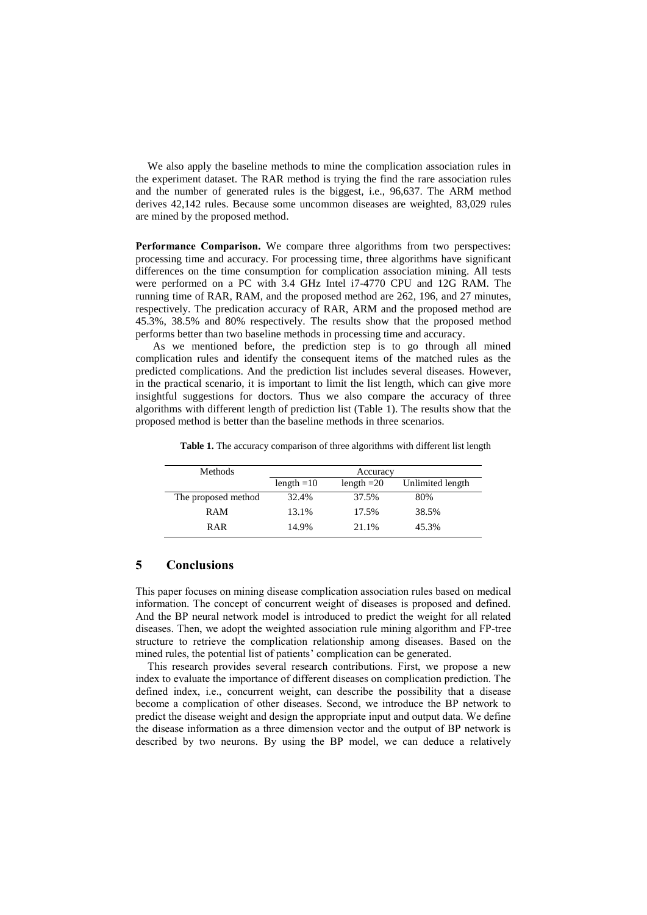We also apply the baseline methods to mine the complication association rules in the experiment dataset. The RAR method is trying the find the rare association rules and the number of generated rules is the biggest, i.e., 96,637. The ARM method derives 42,142 rules. Because some uncommon diseases are weighted, 83,029 rules are mined by the proposed method.

**Performance Comparison.** We compare three algorithms from two perspectives: processing time and accuracy. For processing time, three algorithms have significant differences on the time consumption for complication association mining. All tests were performed on a PC with 3.4 GHz Intel i7-4770 CPU and 12G RAM. The running time of RAR, RAM, and the proposed method are 262, 196, and 27 minutes, respectively. The predication accuracy of RAR, ARM and the proposed method are 45.3%, 38.5% and 80% respectively. The results show that the proposed method performs better than two baseline methods in processing time and accuracy.

As we mentioned before, the prediction step is to go through all mined complication rules and identify the consequent items of the matched rules as the predicted complications. And the prediction list includes several diseases. However, in the practical scenario, it is important to limit the list length, which can give more insightful suggestions for doctors. Thus we also compare the accuracy of three algorithms with different length of prediction list (Table 1). The results show that the proposed method is better than the baseline methods in three scenarios.

| <b>Methods</b>      | Accuracy     |              |                  |
|---------------------|--------------|--------------|------------------|
|                     | length $=10$ | length $=20$ | Unlimited length |
| The proposed method | 32.4%        | 37.5%        | 80%              |
| RAM                 | 13.1%        | 17.5%        | 38.5%            |
| <b>RAR</b>          | 14.9%        | 21.1%        | 45.3%            |

**Table 1.** The accuracy comparison of three algorithms with different list length

### **5 Conclusions**

This paper focuses on mining disease complication association rules based on medical information. The concept of concurrent weight of diseases is proposed and defined. And the BP neural network model is introduced to predict the weight for all related diseases. Then, we adopt the weighted association rule mining algorithm and FP-tree structure to retrieve the complication relationship among diseases. Based on the mined rules, the potential list of patients' complication can be generated.

This research provides several research contributions. First, we propose a new index to evaluate the importance of different diseases on complication prediction. The defined index, i.e., concurrent weight, can describe the possibility that a disease become a complication of other diseases. Second, we introduce the BP network to predict the disease weight and design the appropriate input and output data. We define the disease information as a three dimension vector and the output of BP network is described by two neurons. By using the BP model, we can deduce a relatively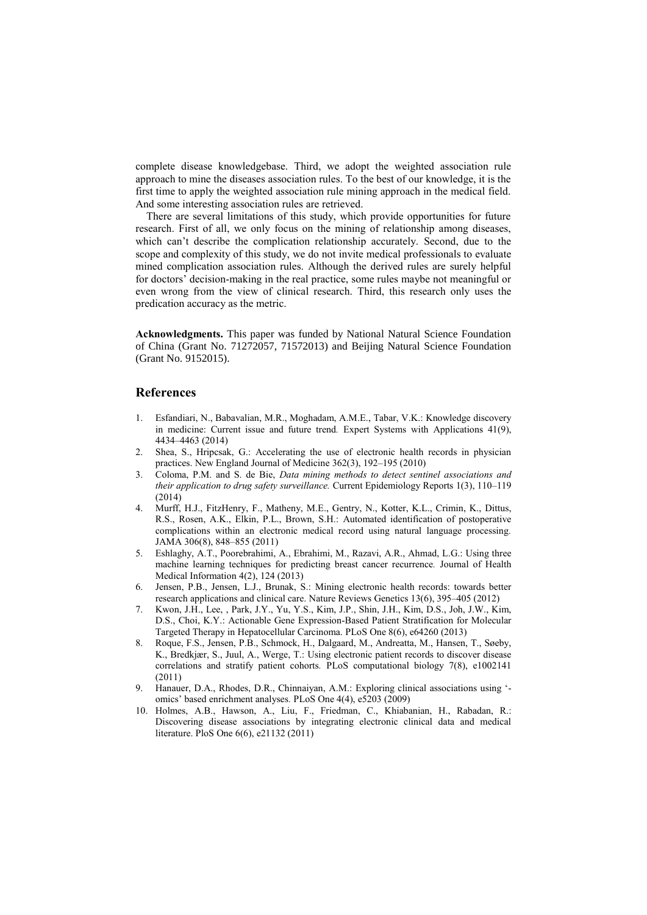complete disease knowledgebase. Third, we adopt the weighted association rule approach to mine the diseases association rules. To the best of our knowledge, it is the first time to apply the weighted association rule mining approach in the medical field. And some interesting association rules are retrieved.

There are several limitations of this study, which provide opportunities for future research. First of all, we only focus on the mining of relationship among diseases, which can't describe the complication relationship accurately. Second, due to the scope and complexity of this study, we do not invite medical professionals to evaluate mined complication association rules. Although the derived rules are surely helpful for doctors' decision-making in the real practice, some rules maybe not meaningful or even wrong from the view of clinical research. Third, this research only uses the predication accuracy as the metric.

**Acknowledgments.** This paper was funded by National Natural Science Foundation of China (Grant No. 71272057, 71572013) and Beijing Natural Science Foundation (Grant No. 9152015).

#### **References**

- <span id="page-9-0"></span>1. Esfandiari, N., Babavalian, M.R., Moghadam, A.M.E., Tabar, V.K.: Knowledge discovery in medicine: Current issue and future trend*.* Expert Systems with Applications 41(9), 4434–4463 (2014)
- <span id="page-9-1"></span>2. Shea, S., Hripcsak, G.: Accelerating the use of electronic health records in physician practices. New England Journal of Medicine 362(3), 192–195 (2010)
- <span id="page-9-2"></span>3. Coloma, P.M. and S. de Bie, *Data mining methods to detect sentinel associations and their application to drug safety surveillance.* Current Epidemiology Reports 1(3), 110–119 (2014)
- <span id="page-9-3"></span>4. Murff, H.J., FitzHenry, F., Matheny, M.E., Gentry, N., Kotter, K.L., Crimin, K., Dittus, R.S., Rosen, A.K., Elkin, P.L., Brown, S.H.: Automated identification of postoperative complications within an electronic medical record using natural language processing*.* JAMA 306(8), 848–855 (2011)
- <span id="page-9-4"></span>5. Eshlaghy, A.T., Poorebrahimi, A., Ebrahimi, M., Razavi, A.R., Ahmad, L.G.: Using three machine learning techniques for predicting breast cancer recurrence*.* Journal of Health Medical Information 4(2), 124 (2013)
- <span id="page-9-5"></span>6. Jensen, P.B., Jensen, L.J., Brunak, S.: Mining electronic health records: towards better research applications and clinical care. Nature Reviews Genetics 13(6), 395–405 (2012)
- <span id="page-9-6"></span>7. Kwon, J.H., Lee, , Park, J.Y., Yu, Y.S., Kim, J.P., Shin, J.H., Kim, D.S., Joh, J.W., Kim, D.S., Choi, K.Y.: Actionable Gene Expression-Based Patient Stratification for Molecular Targeted Therapy in Hepatocellular Carcinoma. PLoS One 8(6), e64260 (2013)
- <span id="page-9-7"></span>8. Roque, F.S., Jensen, P.B., Schmock, H., Dalgaard, M., Andreatta, M., Hansen, T., Søeby, K., Bredkjær, S., Juul, A., Werge, T.: Using electronic patient records to discover disease correlations and stratify patient cohorts*.* PLoS computational biology 7(8), e1002141 (2011)
- <span id="page-9-8"></span>9. Hanauer, D.A., Rhodes, D.R., Chinnaiyan, A.M.: Exploring clinical associations using ' omics' based enrichment analyses*.* PLoS One 4(4), e5203 (2009)
- <span id="page-9-9"></span>10. Holmes, A.B., Hawson, A., Liu, F., Friedman, C., Khiabanian, H., Rabadan, R.: Discovering disease associations by integrating electronic clinical data and medical literature. PloS One 6(6), e21132 (2011)